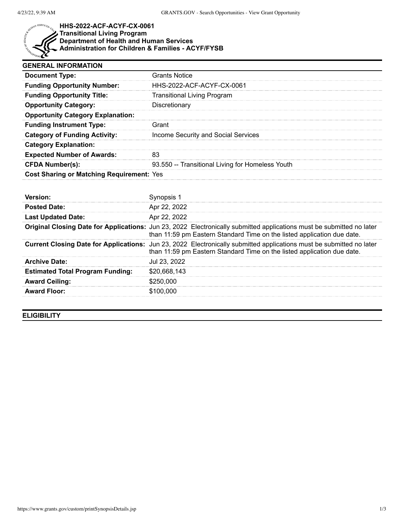

## **HHS-2022-ACF-ACYF-CX-0061 Transitional Living Program Department of Health and Human Services Administration for Children & Families - ACYF/FYSB**

| <b>GENERAL INFORMATION</b>                |                                                  |  |
|-------------------------------------------|--------------------------------------------------|--|
| <b>Document Type:</b>                     | <b>Grants Notice</b>                             |  |
| <b>Funding Opportunity Number:</b>        | HHS-2022-ACF-ACYF-CX-0061                        |  |
| <b>Funding Opportunity Title:</b>         | Transitional Living Program                      |  |
| <b>Opportunity Category:</b>              | Discretionary                                    |  |
| <b>Opportunity Category Explanation:</b>  |                                                  |  |
| <b>Funding Instrument Type:</b>           | Grant                                            |  |
| <b>Category of Funding Activity:</b>      | Income Security and Social Services              |  |
| <b>Category Explanation:</b>              |                                                  |  |
| <b>Expected Number of Awards:</b>         |                                                  |  |
| <b>CFDA Number(s):</b>                    | 93.550 -- Transitional Living for Homeless Youth |  |
| Cost Sharing or Matching Requirement: Yes |                                                  |  |

| <b>Posted Date:</b>                     | Apr 22, 2022                                                                                                                                                                                     |
|-----------------------------------------|--------------------------------------------------------------------------------------------------------------------------------------------------------------------------------------------------|
| <b>Last Updated Date:</b>               | Apr 22, 2022                                                                                                                                                                                     |
|                                         | Original Closing Date for Applications: Jun 23, 2022 Electronically submitted applications must be submitted no later<br>than 11:59 pm Eastern Standard Time on the listed application due date. |
|                                         | Current Closing Date for Applications: Jun 23, 2022 Electronically submitted applications must be submitted no later<br>than 11:59 pm Eastern Standard Time on the listed application due date.  |
| <b>Archive Date:</b>                    | Jul 23, 2022                                                                                                                                                                                     |
| <b>Estimated Total Program Funding:</b> | \$20,668,143                                                                                                                                                                                     |
| <b>Award Ceiling:</b>                   | \$250,000                                                                                                                                                                                        |
| <b>Award Floor:</b>                     | \$100,000                                                                                                                                                                                        |

**ELIGIBILITY**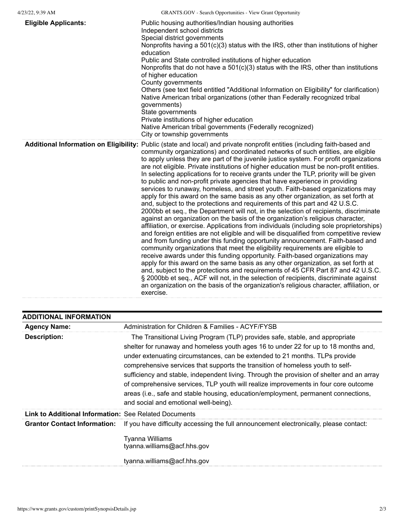| <b>Eligible Applicants:</b> | Public housing authorities/Indian housing authorities<br>Independent school districts<br>Special district governments<br>Nonprofits having a 501(c)(3) status with the IRS, other than institutions of higher<br>education<br>Public and State controlled institutions of higher education<br>Nonprofits that do not have a $501(c)(3)$ status with the IRS, other than institutions<br>of higher education<br>County governments<br>Others (see text field entitled "Additional Information on Eligibility" for clarification)<br>Native American tribal organizations (other than Federally recognized tribal<br>governments)<br>State governments<br>Private institutions of higher education<br>Native American tribal governments (Federally recognized)<br>City or township governments                                                                                                                                                                                                                                                                                                                                                                                                                                                                                                                                                                                                                                                                                                                                                                                                                                                                                                                                                                                                                                  |
|-----------------------------|--------------------------------------------------------------------------------------------------------------------------------------------------------------------------------------------------------------------------------------------------------------------------------------------------------------------------------------------------------------------------------------------------------------------------------------------------------------------------------------------------------------------------------------------------------------------------------------------------------------------------------------------------------------------------------------------------------------------------------------------------------------------------------------------------------------------------------------------------------------------------------------------------------------------------------------------------------------------------------------------------------------------------------------------------------------------------------------------------------------------------------------------------------------------------------------------------------------------------------------------------------------------------------------------------------------------------------------------------------------------------------------------------------------------------------------------------------------------------------------------------------------------------------------------------------------------------------------------------------------------------------------------------------------------------------------------------------------------------------------------------------------------------------------------------------------------------------|
|                             | Additional Information on Eligibility: Public (state and local) and private nonprofit entities (including faith-based and<br>community organizations) and coordinated networks of such entities, are eligible<br>to apply unless they are part of the juvenile justice system. For profit organizations<br>are not eligible. Private institutions of higher education must be non-profit entities.<br>In selecting applications for to receive grants under the TLP, priority will be given<br>to public and non-profit private agencies that have experience in providing<br>services to runaway, homeless, and street youth. Faith-based organizations may<br>apply for this award on the same basis as any other organization, as set forth at<br>and, subject to the protections and requirements of this part and 42 U.S.C.<br>2000bb et seq., the Department will not, in the selection of recipients, discriminate<br>against an organization on the basis of the organization's religious character,<br>affiliation, or exercise. Applications from individuals (including sole proprietorships)<br>and foreign entities are not eligible and will be disqualified from competitive review<br>and from funding under this funding opportunity announcement. Faith-based and<br>community organizations that meet the eligibility requirements are eligible to<br>receive awards under this funding opportunity. Faith-based organizations may<br>apply for this award on the same basis as any other organization, as set forth at<br>and, subject to the protections and requirements of 45 CFR Part 87 and 42 U.S.C.<br>§ 2000bb et seq., ACF will not, in the selection of recipients, discriminate against<br>an organization on the basis of the organization's religious character, affiliation, or<br>exercise. |

| <b>ADDITIONAL INFORMATION</b>                                |                                                                                                                                                                                                                                                                                                                                                                                                                                                                                                                                                                                                                                                         |
|--------------------------------------------------------------|---------------------------------------------------------------------------------------------------------------------------------------------------------------------------------------------------------------------------------------------------------------------------------------------------------------------------------------------------------------------------------------------------------------------------------------------------------------------------------------------------------------------------------------------------------------------------------------------------------------------------------------------------------|
| <b>Agency Name:</b>                                          | Administration for Children & Families - ACYF/FYSB                                                                                                                                                                                                                                                                                                                                                                                                                                                                                                                                                                                                      |
| <b>Description:</b>                                          | The Transitional Living Program (TLP) provides safe, stable, and appropriate<br>shelter for runaway and homeless youth ages 16 to under 22 for up to 18 months and,<br>under extenuating circumstances, can be extended to 21 months. TLPs provide<br>comprehensive services that supports the transition of homeless youth to self-<br>sufficiency and stable, independent living. Through the provision of shelter and an array<br>of comprehensive services, TLP youth will realize improvements in four core outcome<br>areas (i.e., safe and stable housing, education/employment, permanent connections,<br>and social and emotional well-being). |
| <b>Link to Additional Information: See Related Documents</b> |                                                                                                                                                                                                                                                                                                                                                                                                                                                                                                                                                                                                                                                         |
| <b>Grantor Contact Information:</b>                          | If you have difficulty accessing the full announcement electronically, please contact:<br>Tyanna Williams<br>tyanna.williams@acf.hhs.gov<br>tyanna.williams@acf.hhs.gov                                                                                                                                                                                                                                                                                                                                                                                                                                                                                 |